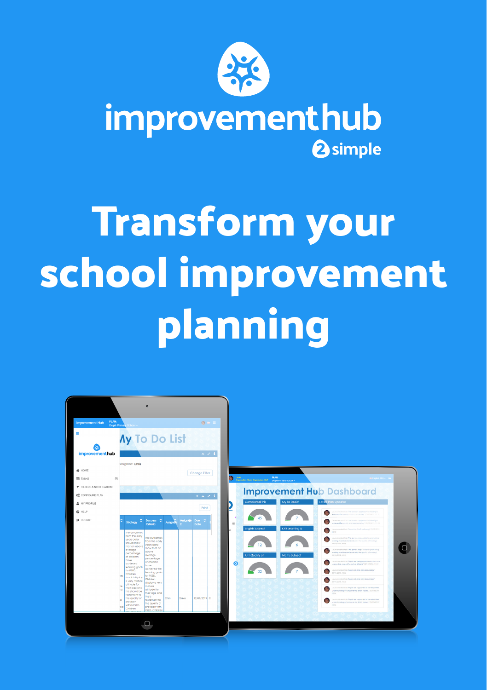

improvementhub **2** simple

## **Transform your school improvement planning**